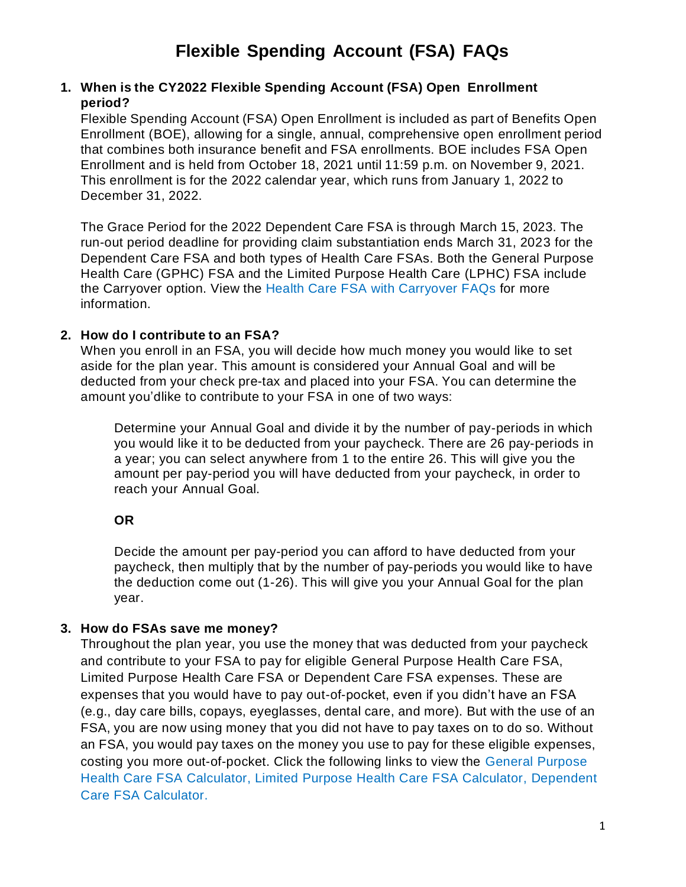### **1. When is the CY2022 Flexible Spending Account (FSA) Open Enrollment period?**

Flexible Spending Account (FSA) Open Enrollment is included as part of Benefits Open Enrollment (BOE), allowing for a single, annual, comprehensive open enrollment period that combines both insurance benefit and FSA enrollments. BOE includes FSA Open Enrollment and is held from October 18, 2021 until 11:59 p.m. on November 9, 2021. This enrollment is for the 2022 calendar year, which runs from January 1, 2022 to December 31, 2022.

The Grace Period for the 2022 Dependent Care FSA is through March 15, 2023. The run-out period deadline for providing claim substantiation ends March 31, 2023 for the Dependent Care FSA and both types of Health Care FSAs. Both the General Purpose Health Care (GPHC) FSA and the Limited Purpose Health Care (LPHC) FSA include the Carryover option. View the Health Care FSA with [Carryover](https://www.michigan.gov/mdcs/0,4614,7-147-22854_6095_68329_74140_108985_108987---,00.html) FAQs for more information.

## **2. How do I contribute to an FSA?**

When you enroll in an FSA, you will decide how much money you would like to set aside for the plan year. This amount is considered your Annual Goal and will be deducted from your check pre-tax and placed into your FSA. You can determine the amount you'dlike to contribute to your FSA in one of two ways:

Determine your Annual Goal and divide it by the number of pay-periods in which you would like it to be deducted from your paycheck. There are 26 pay-periods in a year; you can select anywhere from 1 to the entire 26. This will give you the amount per pay-period you will have deducted from your paycheck, in order to reach your Annual Goal.

# **OR**

Decide the amount per pay-period you can afford to have deducted from your paycheck, then multiply that by the number of pay-periods you would like to have the deduction come out (1-26). This will give you your Annual Goal for the plan year.

### **3. How do FSAs save me money?**

Throughout the plan year, you use the money that was deducted from your paycheck and contribute to your FSA to pay for eligible [General Purpose Health Care F](https://www.wageworks.com/employees/support-center/healthcare-fsa-eligible-expenses-table/)SA, [Limited Purpose Health Care FSA o](https://www.wageworks.com/employees/support-center/limited-purpose-fsa-eligible-expenses-table/)r [Dependent Care F](https://www.wageworks.com/employees/support-center/dcfsa-eligible-expenses-table/)SA expenses. These are expenses that you would have to pay out-of-pocket, even if you didn't have an FSA (e.g., day care bills, copays, eyeglasses, dental care, and more). But with the use of an FSA, you are now using money that you did not have to pay taxes on to do so. Without an FSA, you would pay taxes on the money you use to pay for these eligible expenses, costing you more out-of-pocket. Click the following links to view the [General Purpose](https://www.wageworks.com/employees/benefits/healthcare-flexible-spending-accounts-fsa/fsa-savings-calculator.aspx) [Health Care FSA Calculator,](https://www.wageworks.com/employees/benefits/healthcare-flexible-spending-accounts-fsa/fsa-savings-calculator.aspx) [Limited Purpose Health Care FSA Calculator,](https://www.wageworks.com/employees/support-center/hsa-compatible-fsa-calculator/) [Dependent](https://www.wageworks.com/employees/support-center/dependent-care-savings-calculator/) Care FSA [Calculator.](https://www.wageworks.com/employees/support-center/dependent-care-savings-calculator/)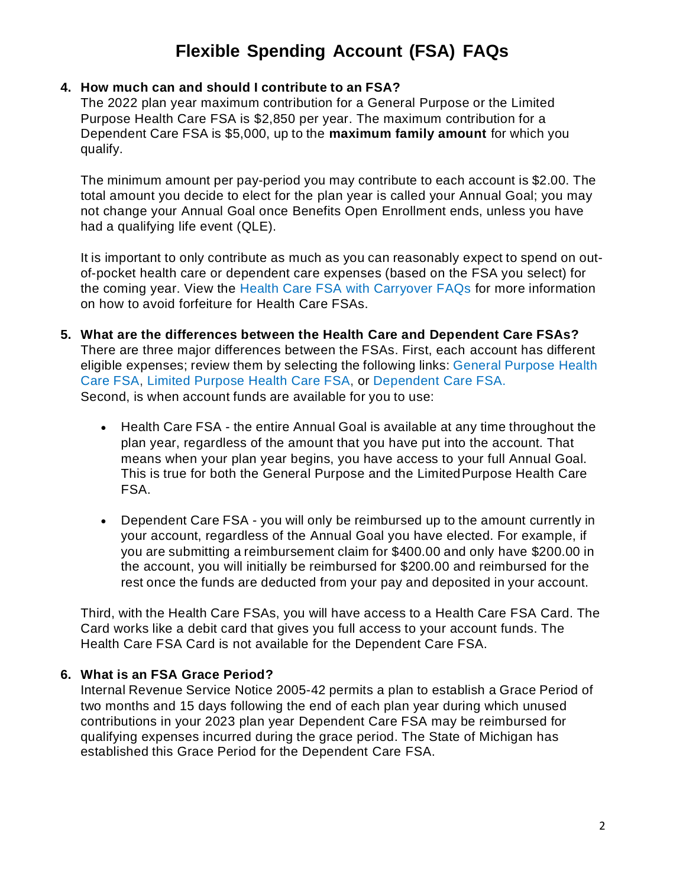#### **4. How much can and should I contribute to an FSA?**

The 2022 plan year maximum contribution for a General Purpose or the Limited Purpose Health Care FSA is \$2,850 per year. The maximum contribution for a Dependent Care FSA is \$5,000, up to the **[maximum](http://www.michigan.gov/mdcs/0%2C4614%2C7-147-22854_6095_6103-288665--%2C00.html) family amount** for which you qualify.

The minimum amount per pay-period you may contribute to each account is \$2.00. The total amount you decide to elect for the plan year is called your Annual Goal; you may not change your Annual Goal once Benefits Open Enrollment ends, unless you have had a qualifying life event (QLE).

It is important to only contribute as much as you can reasonably expect to spend on outof-pocket health care or dependent care expenses (based on the FSA you select) for the coming year. View the [Health Care FSA with Carryover FAQs f](https://www.michigan.gov/mdcs/0,4614,7-147-22854_6095_68329_74140_108985_108987---,00.html)or more information on how to avoid forfeiture for Health Care FSAs.

- **5. What are the differences between the Health Care and Dependent Care FSAs?** There are three major differences between the FSAs. First, each account has different eligible expenses; review them by selecting the following links: General [Purpose](https://www.wageworks.com/employees/support-center/healthcare-fsa-eligible-expenses-table/) Health [Care FSA,](https://www.wageworks.com/employees/support-center/healthcare-fsa-eligible-expenses-table/) [Limited Purpose](https://www.wageworks.com/employees/support-center/limited-purpose-fsa-eligible-expenses-table/) Health Care FSA, or [Dependent](https://www.wageworks.com/employees/support-center/dcfsa-eligible-expenses-table/) Care FSA. Second, is when account funds are available for you to use:
	- Health Care FSA the entire Annual Goal is available at any time throughout the plan year, regardless of the amount that you have put into the account. That means when your plan year begins, you have access to your full Annual Goal. This is true for both the General Purpose and the LimitedPurpose Health Care FSA.
	- Dependent Care FSA you will only be reimbursed up to the amount currently in your account, regardless of the Annual Goal you have elected. For example, if you are submitting a reimbursement claim for \$400.00 and only have \$200.00 in the account, you will initially be reimbursed for \$200.00 and reimbursed for the rest once the funds are deducted from your pay and deposited in your account.

Third, with the Health Care FSAs, you will have access to a Health Care FSA Card. The Card works like a debit card that gives you full access to your account funds. The Health Care FSA Card is not available for the Dependent Care FSA.

### **6. What is an FSA Grace Period?**

Internal Revenue Service Notice 2005-42 permits a plan to establish a Grace Period of two months and 15 days following the end of each plan year during which unused contributions in your 2023 plan year Dependent Care FSA may be reimbursed for qualifying expenses incurred during the grace period. The State of Michigan has established this Grace Period for the Dependent Care FSA.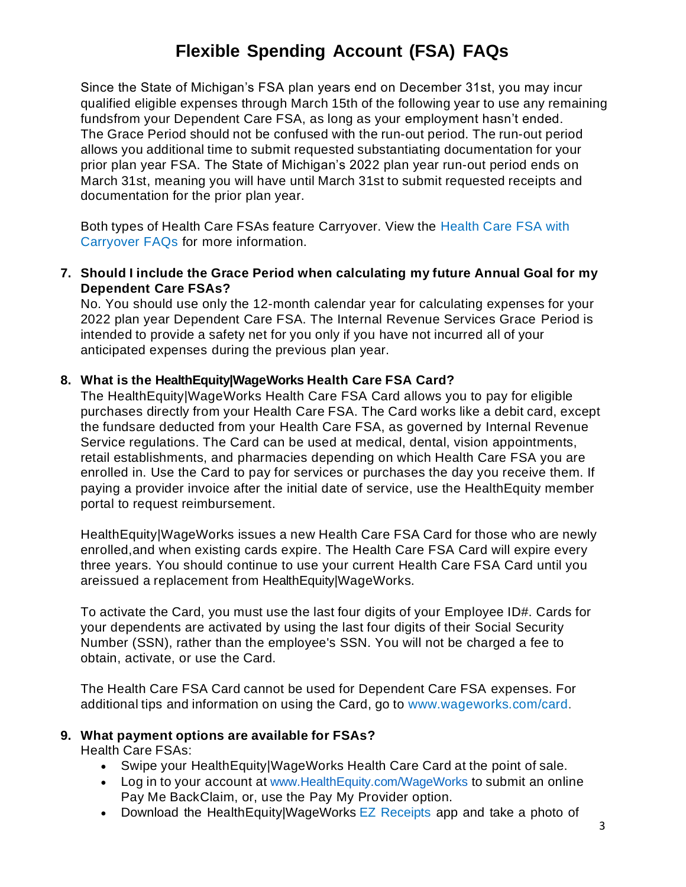Since the State of Michigan's FSA plan years end on December 31st, you may incur qualified eligible expenses through March 15th of the following year to use any remaining fundsfrom your Dependent Care FSA, as long as your employment hasn't ended. The Grace Period should not be confused with the run-out period. The run-out period allows you additional time to submit requested substantiating documentation for your prior plan year FSA. The State of Michigan's 2022 plan year run-out period ends on March 31st, meaning you will have until March 31st to submit requested receipts and documentation for the prior plan year.

Both types of Health Care FSAs feature Carryover. View the [Health](https://www.michigan.gov/mdcs/0,4614,7-147-22854_6095_68329_74140_108985_108987---,00.html) Care FSA with [Carryover](https://www.michigan.gov/mdcs/0,4614,7-147-22854_6095_68329_74140_108985_108987---,00.html) FAQs for more information.

**7. Should I include the Grace Period when calculating my future Annual Goal for my Dependent Care FSAs?**

No. You should use only the 12-month calendar year for calculating expenses for your 2022 plan year Dependent Care FSA. The Internal Revenue Services Grace Period is intended to provide a safety net for you only if you have not incurred all of your anticipated expenses during the previous plan year.

### **8. What is the HealthEquity|WageWorks Health Care FSA Card?**

The HealthEquity|WageWorks Health Care FSA Card allows you to pay for eligible purchases directly from your Health Care FSA. The Card works like a debit card, except the fundsare deducted from your Health Care FSA, as governed by Internal Revenue Service regulations. The Card can be used at medical, dental, vision appointments, retail establishments, and pharmacies depending on which Health Care FSA you are enrolled in. Use the Card to pay for services or purchases the day you receive them. If paying a provider invoice after the initial date of service, use the HealthEquity member portal to request reimbursement.

HealthEquity|WageWorks issues a new Health Care FSA Card for those who are newly enrolled,and when existing cards expire. The Health Care FSA Card will expire every three years. You should continue to use your current Health Care FSA Card until you areissued a replacement from HealthEquity|WageWorks.

To activate the Card, you must use the last four digits of your Employee ID#. Cards for your dependents are activated by using the last four digits of their Social Security Number (SSN), rather than the employee's SSN. You will not be charged a fee to obtain, activate, or use the Card.

The Health Care FSA Card cannot be used for Dependent Care FSA expenses. For additional tips and information on using the Card, go to [www.wageworks.com/card.](http://www.wageworks.com/card)

# **9. What payment options are available for FSAs?**

Health Care FSAs:

- Swipe your HealthEquity|WageWorks Health Care Card at the point of sale.
- Log in to your account at [www.HealthEquity.com/WageWorks](http://www.healthequity.com/WageWorks) to submit an online Pay Me BackClaim, or, use the Pay My Provider option.
- Download the HealthEquity|WageWorks EZ [Receipts](https://www.wageworks.com/employees/account-management/wageworks-ez-receipts-mobile-app/) app and take a photo of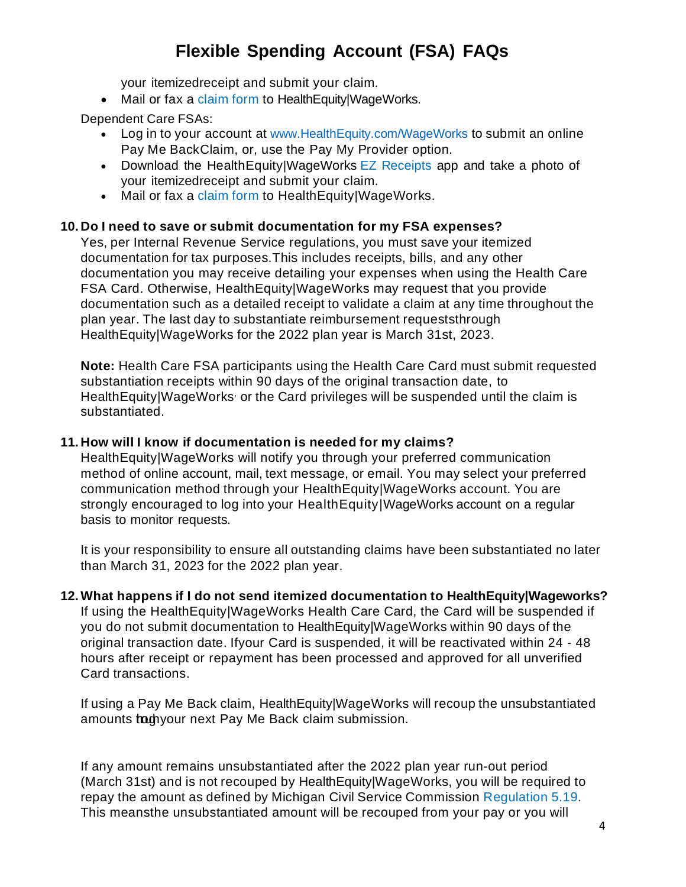your itemizedreceipt and submit your claim.

• Mail or fax a [claim](https://www.wageworks.com/media/838802/3790-hcfsa-pmb-frm-202103.pdf) form to HealthEquity|WageWorks.

Dependent Care FSAs:

- Log in to your account at [www.HealthEquity.com/WageWorks](http://www.healthequity.com/WageWorks) to submit an online Pay Me BackClaim, or, use the Pay My Provider option.
- Download the HealthEquity|WageWorks EZ [Receipts](https://www.wageworks.com/employees/employee-benefits-account-management/#WhereToShop) app and take a photo of your itemizedreceipt and submit your claim.
- Mail or fax a [claim](https://www.wageworks.com/media/838802/3790-hcfsa-pmb-frm-202103.pdf) form to HealthEquity|WageWorks.

### **10. Do I need to save or submit documentation for my FSA expenses?**

Yes, per Internal Revenue Service regulations, you must save your itemized documentation for tax purposes.This includes receipts, bills, and any other documentation you may receive detailing your expenses when using the Health Care FSA Card. Otherwise, HealthEquity|WageWorks may request that you provide documentation such as a detailed receipt to validate a claim at any time throughout the plan year. The last day to substantiate reimbursement requeststhrough HealthEquity|WageWorks for the 2022 plan year is March 31st, 2023.

**Note:** Health Care FSA participants using the Health Care Card must submit requested substantiation receipts within 90 days of the original transaction date, to HealthEquity|WageWorks, or the Card privileges will be suspended until the claim is substantiated.

#### **11. How will I know if documentation is needed for my claims?**

HealthEquity|WageWorks will notify you through your preferred communication method of online account, mail, text message, or email. You may select your preferred communication method through your HealthEquity|WageWorks account. You are strongly encouraged to log into your HealthEquity|WageWorks account on a regular basis to monitor requests.

It is your responsibility to ensure all outstanding claims have been substantiated no later than March 31, 2023 for the 2022 plan year.

**12. What happens if I do not send itemized documentation to HealthEquity|Wageworks?** If using the HealthEquity|WageWorks Health Care Card, the Card will be suspended if you do not submit documentation to HealthEquity|WageWorks within 90 days of the original transaction date. Ifyour Card is suspended, it will be reactivated within 24 - 48 hours after receipt or repayment has been processed and approved for all unverified Card transactions.

If using a Pay Me Back claim, HealthEquity|WageWorks will recoup the unsubstantiated amounts to the next Pay Me Back claim submission.

If any amount remains unsubstantiated after the 2022 plan year run-out period (March 31st) and is not recouped by HealthEquity|WageWorks, you will be required to repay the amount as defined by Michigan Civil Service Commission [Regulation](http://www.michigan.gov/documents/Regulation_5_128249_7.20.pdf) 5.19. This meansthe unsubstantiated amount will be recouped from your pay or you will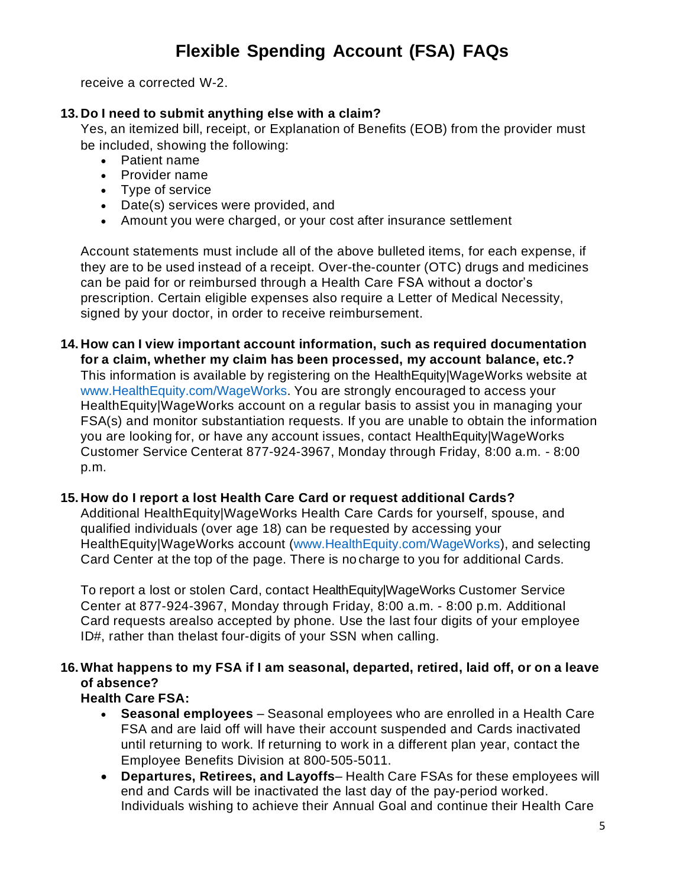receive a corrected W-2.

### **13. Do I need to submit anything else with a claim?**

Yes, an itemized bill, receipt, or Explanation of Benefits (EOB) from the provider must be included, showing the following:

- Patient name
- Provider name
- Type of service
- Date(s) services were provided, and
- Amount you were charged, or your cost after insurance settlement

Account statements must include all of the above bulleted items, for each expense, if they are to be used instead of a receipt. Over-the-counter (OTC) drugs and medicines can be paid for or reimbursed through a Health Care FSA without a doctor's prescription. Certain eligible expenses also require a Letter of Medical Necessity, signed by your doctor, in order to receive reimbursement.

**14. How can I view important account information, such as required documentation for a claim, whether my claim has been processed, my account balance, etc.?** This information is available by registering on the HealthEquity|WageWorks website at [www.HealthEquity.com/WageWorks.](http://www.healthequity.com/WageWorks) You are strongly encouraged to access your HealthEquity|WageWorks account on a regular basis to assist you in managing your FSA(s) and monitor substantiation requests. If you are unable to obtain the information you are looking for, or have any account issues, contact HealthEquity|WageWorks Customer Service Centerat 877-924-3967, Monday through Friday, 8:00 a.m. - 8:00 p.m.

### **15. How do I report a lost Health Care Card or request additional Cards?**

Additional HealthEquity|WageWorks Health Care Cards for yourself, spouse, and qualified individuals (over age 18) can be requested by accessing your HealthEquity|WageWorks account [\(www.HealthEquity.com/WageWorks\)](http://www.healthequity.com/WageWorks), and selecting Card Center at the top of the page. There is no charge to you for additional Cards.

To report a lost or stolen Card, contact HealthEquity|WageWorks Customer Service Center at 877-924-3967, Monday through Friday, 8:00 a.m. - 8:00 p.m. Additional Card requests arealso accepted by phone. Use the last four digits of your employee ID#, rather than thelast four-digits of your SSN when calling.

# **16. What happens to my FSA if I am seasonal, departed, retired, laid off, or on a leave of absence?**

# **Health Care FSA:**

- **Seasonal employees** Seasonal employees who are enrolled in a Health Care FSA and are laid off will have their account suspended and Cards inactivated until returning to work. If returning to work in a different plan year, contact the Employee Benefits Division at 800-505-5011.
- **Departures, Retirees, and Layoffs** Health Care FSAs for these employees will end and Cards will be inactivated the last day of the pay-period worked. Individuals wishing to achieve their Annual Goal and continue their Health Care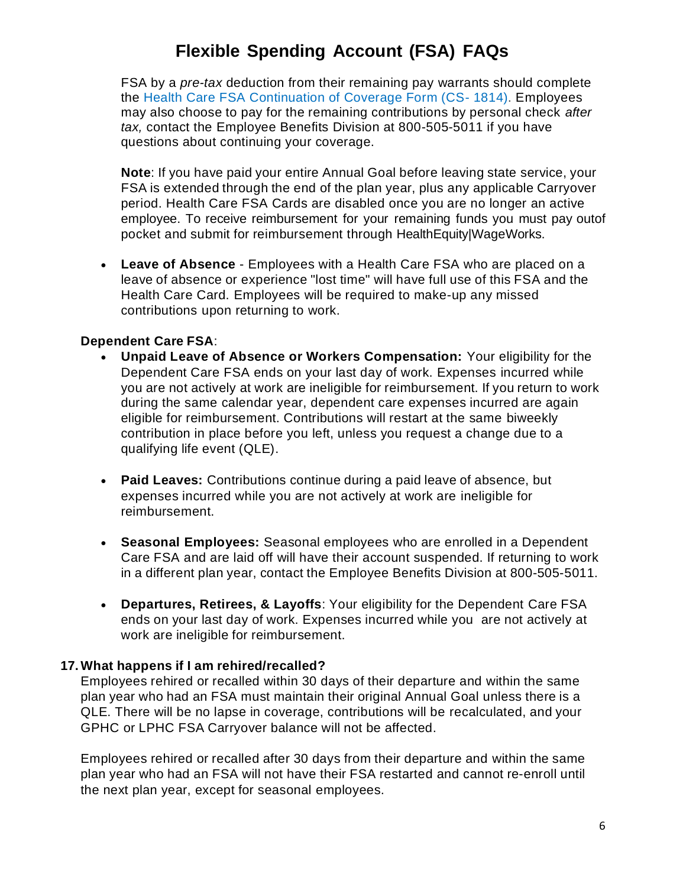FSA by a *pre-tax* deduction from their remaining pay warrants should complete the [Health Care FSA Continuation of Coverage Form \(CS-](http://www.michigan.gov/documents/mdcs/CS-1814_HealthCare_Account_Continuation_Coverage_302800_7.pdf) [1814\).](http://www.michigan.gov/documents/mdcs/CS-1814_HealthCare_Account_Continuation_Coverage_302800_7.pdf) Employees may also choose to pay for the remaining contributions by personal check *after tax,* contact the Employee Benefits Division at 800-505-5011 if you have questions about continuing your coverage.

**Note**: If you have paid your entire Annual Goal before leaving state service, your FSA is extended through the end of the plan year, plus any applicable Carryover period. Health Care FSA Cards are disabled once you are no longer an active employee. To receive reimbursement for your remaining funds you must pay outof pocket and submit for reimbursement through HealthEquity|WageWorks.

• **Leave of Absence** - Employees with a Health Care FSA who are placed on a leave of absence or experience "lost time" will have full use of this FSA and the Health Care Card. Employees will be required to make-up any missed contributions upon returning to work.

## **Dependent Care FSA**:

- **Unpaid Leave of Absence or Workers Compensation:** Your eligibility for the Dependent Care FSA ends on your last day of work. Expenses incurred while you are not actively at work are ineligible for reimbursement. If you return to work during the same calendar year, dependent care expenses incurred are again eligible for reimbursement. Contributions will restart at the same biweekly contribution in place before you left, unless you request a change due to a qualifying life event (QLE).
- **Paid Leaves:** Contributions continue during a paid leave of absence, but expenses incurred while you are not actively at work are ineligible for reimbursement.
- **Seasonal Employees:** Seasonal employees who are enrolled in a Dependent Care FSA and are laid off will have their account suspended. If returning to work in a different plan year, contact the Employee Benefits Division at 800-505-5011.
- **Departures, Retirees, & Layoffs**: Your eligibility for the Dependent Care FSA ends on your last day of work. Expenses incurred while you are not actively at work are ineligible for reimbursement.

### **17. What happens if I am rehired/recalled?**

Employees rehired or recalled within 30 days of their departure and within the same plan year who had an FSA must maintain their original Annual Goal unless there is a QLE. There will be no lapse in coverage, contributions will be recalculated, and your GPHC or LPHC FSA Carryover balance will not be affected.

Employees rehired or recalled after 30 days from their departure and within the same plan year who had an FSA will not have their FSA restarted and cannot re-enroll until the next plan year, except for seasonal employees.